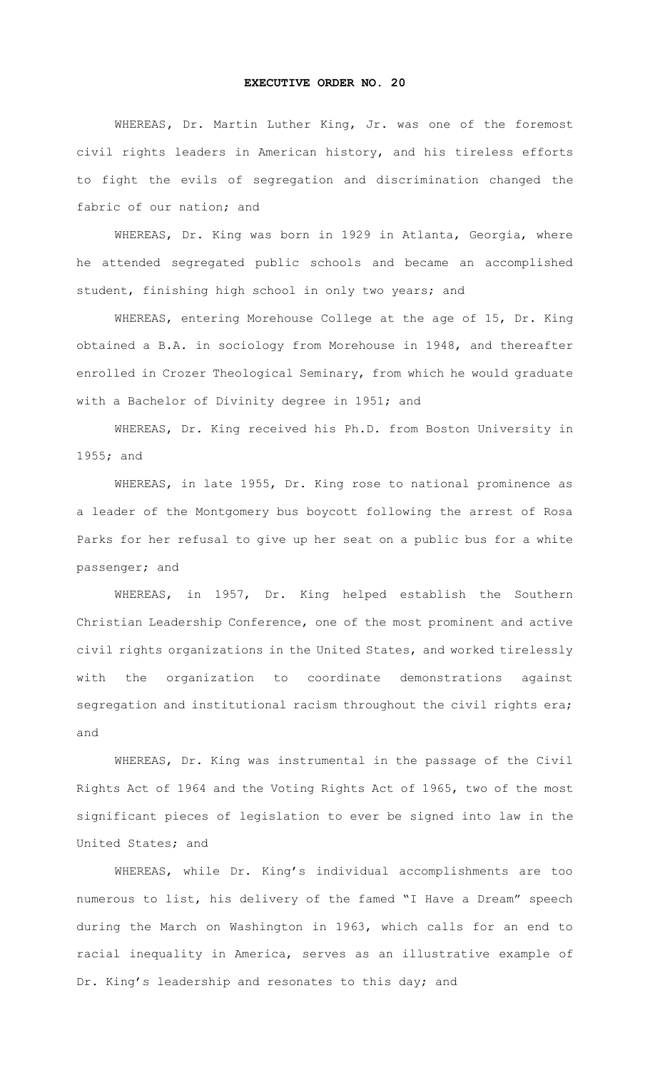## **EXECUTIVE ORDER NO. 20**

WHEREAS**,** Dr. Martin Luther King, Jr. was one of the foremost civil rights leaders in American history, and his tireless efforts to fight the evils of segregation and discrimination changed the fabric of our nation; and

WHEREAS, Dr. King was born in 1929 in Atlanta, Georgia, where he attended segregated public schools and became an accomplished student, finishing high school in only two years; and

WHEREAS, entering Morehouse College at the age of 15, Dr. King obtained a B.A. in sociology from Morehouse in 1948, and thereafter enrolled in Crozer Theological Seminary, from which he would graduate with a Bachelor of Divinity degree in 1951; and

WHEREAS, Dr. King received his Ph.D. from Boston University in 1955; and

WHEREAS, in late 1955, Dr. King rose to national prominence as a leader of the Montgomery bus boycott following the arrest of Rosa Parks for her refusal to give up her seat on a public bus for a white passenger; and

WHEREAS, in 1957, Dr. King helped establish the Southern Christian Leadership Conference, one of the most prominent and active civil rights organizations in the United States, and worked tirelessly with the organization to coordinate demonstrations against segregation and institutional racism throughout the civil rights era; and

WHEREAS, Dr. King was instrumental in the passage of the Civil Rights Act of 1964 and the Voting Rights Act of 1965, two of the most significant pieces of legislation to ever be signed into law in the United States; and

WHEREAS, while Dr. King's individual accomplishments are too numerous to list, his delivery of the famed "I Have a Dream" speech during the March on Washington in 1963, which calls for an end to racial inequality in America, serves as an illustrative example of Dr. King's leadership and resonates to this day; and